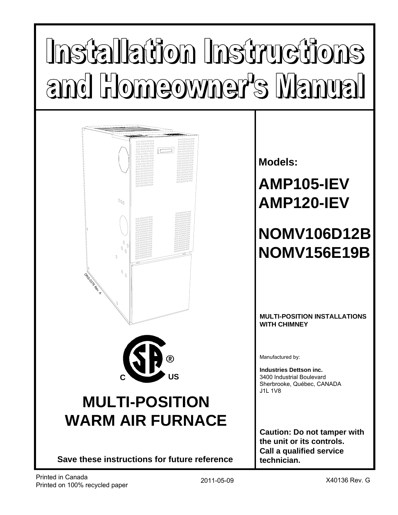# Installation Instructions and Homeowner's Manual



**Save these instructions for future reference**

**Models:**

**AMP105-IEV AMP120-IEV**

## **NOMV106D12B NOMV156E19B**

#### **MULTI-POSITION INSTALLATIONS WITH CHIMNEY**

Manufactured by:

**Industries Dettson inc.** 3400 Industrial Boulevard Sherbrooke, Québec, CANADA J1L 1V8

**Caution: Do not tamper with the unit or its controls. Call a qualified service technician.**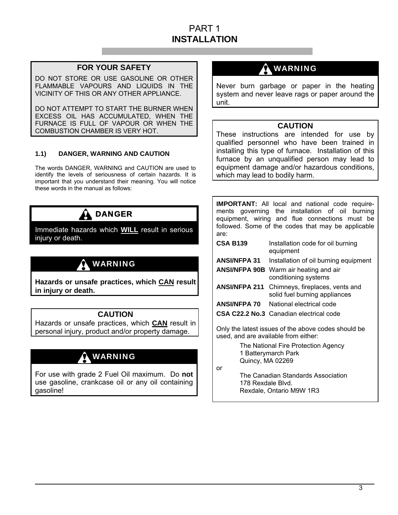## PART 1 **INSTALLATION**

#### **FOR YOUR SAFETY**

DO NOT STORE OR USE GASOLINE OR OTHER FLAMMABLE VAPOURS AND LIQUIDS IN THE VICINITY OF THIS OR ANY OTHER APPLIANCE.

DO NOT ATTEMPT TO START THE BURNER WHEN EXCESS OIL HAS ACCUMULATED, WHEN THE FURNACE IS FULL OF VAPOUR OR WHEN THE COMBUSTION CHAMBER IS VERY HOT.

#### **1.1) DANGER, WARNING AND CAUTION**

The words DANGER, WARNING and CAUTION are used to identify the levels of seriousness of certain hazards. It is important that you understand their meaning. You will notice these words in the manual as follows:



Immediate hazards which **WILL** result in serious injury or death.

## WARNING

**Hazards or unsafe practices, which CAN result in injury or death.** 

#### **CAUTION**

Hazards or unsafe practices, which **CAN** result in personal injury, product and/or property damage.

## **A** WARNING

For use with grade 2 Fuel Oil maximum. Do **not** use gasoline, crankcase oil or any oil containing gasoline!

## $\mathbf{\hat{a}}$  warning

Never burn garbage or paper in the heating system and never leave rags or paper around the unit.

#### **CAUTION**

These instructions are intended for use by qualified personnel who have been trained in installing this type of furnace. Installation of this furnace by an unqualified person may lead to equipment damage and/or hazardous conditions, which may lead to bodily harm.

| <b>IMPORTANT:</b> All local and national code require-<br>ments governing the installation of oil<br>burnina<br>equipment, wiring and flue connections must be |                                                                  |  |  |  |  |  |  |
|----------------------------------------------------------------------------------------------------------------------------------------------------------------|------------------------------------------------------------------|--|--|--|--|--|--|
| are:                                                                                                                                                           | followed. Some of the codes that may be applicable               |  |  |  |  |  |  |
| <b>CSA B139</b>                                                                                                                                                | Installation code for oil burning<br>equipment                   |  |  |  |  |  |  |
| ANSI/NFPA 31                                                                                                                                                   | Installation of oil burning equipment                            |  |  |  |  |  |  |
| <b>ANSI/NFPA 90B</b>                                                                                                                                           | Warm air heating and air<br>conditioning systems                 |  |  |  |  |  |  |
| <b>ANSI/NFPA 211</b>                                                                                                                                           | Chimneys, fireplaces, vents and<br>solid fuel burning appliances |  |  |  |  |  |  |
| <b>ANSI/NFPA 70</b>                                                                                                                                            | National electrical code                                         |  |  |  |  |  |  |
| CSA C22.2 No.3 Canadian electrical code                                                                                                                        |                                                                  |  |  |  |  |  |  |
| Only the latest issues of the above codes should be<br>used, and are available from either:                                                                    |                                                                  |  |  |  |  |  |  |
| The National Fire Protection Agency                                                                                                                            |                                                                  |  |  |  |  |  |  |

 1 Batterymarch Park Quincy, MA 02269

or

 The Canadian Standards Association 178 Rexdale Blvd. Rexdale, Ontario M9W 1R3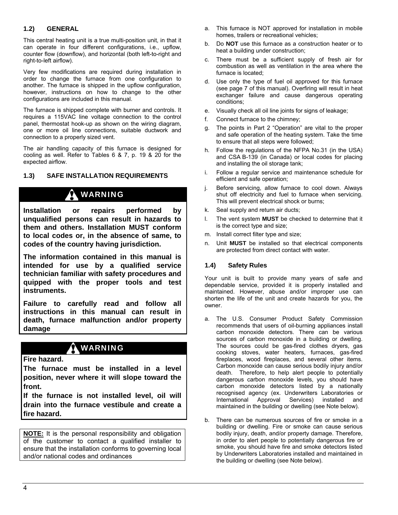#### **1.2) GENERAL**

This central heating unit is a true multi-position unit, in that it can operate in four different configurations, i.e., upflow, counter flow (downflow), and horizontal (both left-to-right and right-to-left airflow).

Very few modifications are required during installation in order to change the furnace from one configuration to another. The furnace is shipped in the upflow configuration, however, instructions on how to change to the other configurations are included in this manual.

The furnace is shipped complete with burner and controls. It requires a 115VAC line voltage connection to the control panel, thermostat hook-up as shown on the wiring diagram, one or more oil line connections, suitable ductwork and connection to a properly sized vent.

The air handling capacity of this furnace is designed for cooling as well. Refer to Tables 6 & 7, p. 19 & 20 for the expected airflow.

#### **1.3) SAFE INSTALLATION REQUIREMENTS**

## WARNING

**Installation or repairs performed by unqualified persons can result in hazards to them and others. Installation MUST conform to local codes or, in the absence of same, to codes of the country having jurisdiction.** 

**The information contained in this manual is intended for use by a qualified service technician familiar with safety procedures and quipped with the proper tools and test instruments.** 

**Failure to carefully read and follow all instructions in this manual can result in death, furnace malfunction and/or property damage** 

## WARNING

**Fire hazard.**

**The furnace must be installed in a level position, never where it will slope toward the front.** 

**If the furnace is not installed level, oil will drain into the furnace vestibule and create a fire hazard.**

**NOTE:** It is the personal responsibility and obligation of the customer to contact a qualified installer to ensure that the installation conforms to governing local and/or national codes and ordinances

- a. This furnace is NOT approved for installation in mobile homes, trailers or recreational vehicles;
- b. Do **NOT** use this furnace as a construction heater or to heat a building under construction;
- c. There must be a sufficient supply of fresh air for combustion as well as ventilation in the area where the furnace is located;
- d. Use only the type of fuel oil approved for this furnace (see page 7 of this manual). Overfiring will result in heat exchanger failure and cause dangerous operating conditions;
- e. Visually check all oil line joints for signs of leakage;
- f. Connect furnace to the chimney;
- g. The points in Part 2 "Operation" are vital to the proper and safe operation of the heating system. Take the time to ensure that all steps were followed;
- h. Follow the regulations of the NFPA No.31 (in the USA) and CSA B-139 (in Canada) or local codes for placing and installing the oil storage tank;
- i. Follow a regular service and maintenance schedule for efficient and safe operation;
- j. Before servicing, allow furnace to cool down. Always shut off electricity and fuel to furnace when servicing. This will prevent electrical shock or burns;
- k. Seal supply and return air ducts;
- l. The vent system **MUST** be checked to determine that it is the correct type and size;
- m. Install correct filter type and size;
- n. Unit **MUST** be installed so that electrical components are protected from direct contact with water.

#### **1.4) Safety Rules**

Your unit is built to provide many years of safe and dependable service, provided it is properly installed and maintained. However, abuse and/or improper use can shorten the life of the unit and create hazards for you, the owner.

- a. The U.S. Consumer Product Safety Commission recommends that users of oil-burning appliances install carbon monoxide detectors. There can be various sources of carbon monoxide in a building or dwelling. The sources could be gas-fired clothes dryers, gas cooking stoves, water heaters, furnaces, gas-fired fireplaces, wood fireplaces, and several other items. Carbon monoxide can cause serious bodily injury and/or death. Therefore, to help alert people to potentially dangerous carbon monoxide levels, you should have carbon monoxide detectors listed by a nationally recognised agency (ex. Underwriters Laboratories or International Approval Services) installed and maintained in the building or dwelling (see Note below).
- b. There can be numerous sources of fire or smoke in a building or dwelling. Fire or smoke can cause serious bodily injury, death, and/or property damage. Therefore, in order to alert people to potentially dangerous fire or smoke, you should have fire and smoke detectors listed by Underwriters Laboratories installed and maintained in the building or dwelling (see Note below).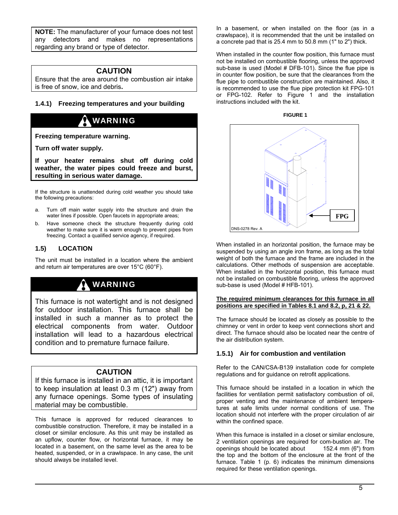**NOTE:** The manufacturer of your furnace does not test any detectors and makes no representations regarding any brand or type of detector.

#### **CAUTION**

Ensure that the area around the combustion air intake is free of snow, ice and debris**.** 

#### **1.4.1) Freezing temperatures and your building**

## WARNING

**Freezing temperature warning.** 

**Turn off water supply.** 

**If your heater remains shut off during cold weather, the water pipes could freeze and burst, resulting in serious water damage.**

If the structure is unattended during cold weather you should take the following precautions:

- a. Turn off main water supply into the structure and drain the water lines if possible. Open faucets in appropriate areas;
- b. Have someone check the structure frequently during cold weather to make sure it is warm enough to prevent pipes from freezing. Contact a qualified service agency, if required.

#### **1.5) LOCATION**

The unit must be installed in a location where the ambient and return air temperatures are over 15°C (60°F).

## WARNING

This furnace is not watertight and is not designed for outdoor installation. This furnace shall be installed in such a manner as to protect the electrical components from water. Outdoor installation will lead to a hazardous electrical condition and to premature furnace failure.

#### **CAUTION**

If this furnace is installed in an attic, it is important to keep insulation at least 0.3 m (12") away from any furnace openings. Some types of insulating material may be combustible.

This furnace is approved for reduced clearances to combustible construction. Therefore, it may be installed in a closet or similar enclosure. As this unit may be installed as an upflow, counter flow, or horizontal furnace, it may be located in a basement, on the same level as the area to be heated, suspended, or in a crawlspace. In any case, the unit should always be installed level.

In a basement, or when installed on the floor (as in a crawlspace), it is recommended that the unit be installed on a concrete pad that is 25.4 mm to 50.8 mm (1" to 2") thick.

When installed in the counter flow position, this furnace must not be installed on combustible flooring, unless the approved sub-base is used (Model # DFB-101). Since the flue pipe is in counter flow position, be sure that the clearances from the flue pipe to combustible construction are maintained. Also, it is recommended to use the flue pipe protection kit FPG-101 or FPG-102. Refer to Figure 1 and the installation instructions included with the kit.





When installed in an horizontal position, the furnace may be suspended by using an angle iron frame, as long as the total weight of both the furnace and the frame are included in the calculations. Other methods of suspension are acceptable. When installed in the horizontal position, this furnace must not be installed on combustible flooring, unless the approved sub-base is used (Model # HFB-101).

#### **The required minimum clearances for this furnace in all positions are specified in Tables 8.1 and 8.2, p, 21 & 22.**

The furnace should be located as closely as possible to the chimney or vent in order to keep vent connections short and direct. The furnace should also be located near the centre of the air distribution system.

#### **1.5.1) Air for combustion and ventilation**

Refer to the CAN/CSA-B139 installation code for complete regulations and for guidance on retrofit applications.

This furnace should be installed in a location in which the facilities for ventilation permit satisfactory combustion of oil, proper venting and the maintenance of ambient temperatures at safe limits under normal conditions of use. The location should not interfere with the proper circulation of air within the confined space.

When this furnace is installed in a closet or similar enclosure, 2 ventilation openings are required for com-bustion air. The openings should be located about 152.4 mm (6") from the top and the bottom of the enclosure at the front of the furnace. Table 1 (p. 6) indicates the minimum dimensions required for these ventilation openings.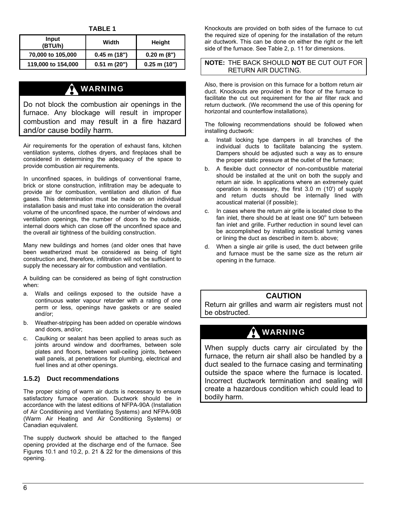**TABLE 1** 

| Input<br>(BTU/h)   | Width            | Height                |  |  |
|--------------------|------------------|-----------------------|--|--|
| 70,000 to 105,000  | $0.45$ m $(18")$ | $0.20 \text{ m} (8")$ |  |  |
| 119,000 to 154,000 | $0.51$ m $(20")$ | $0.25$ m (10")        |  |  |

## **A** WARNING

Do not block the combustion air openings in the furnace. Any blockage will result in improper combustion and may result in a fire hazard and/or cause bodily harm.

Air requirements for the operation of exhaust fans, kitchen ventilation systems, clothes dryers, and fireplaces shall be considered in determining the adequacy of the space to provide combustion air requirements.

In unconfined spaces, in buildings of conventional frame, brick or stone construction, infiltration may be adequate to provide air for combustion, ventilation and dilution of flue gases. This determination must be made on an individual installation basis and must take into consideration the overall volume of the unconfined space, the number of windows and ventilation openings, the number of doors to the outside, internal doors which can close off the unconfined space and the overall air tightness of the building construction.

Many new buildings and homes (and older ones that have been weatherized must be considered as being of tight construction and, therefore, infiltration will not be sufficient to supply the necessary air for combustion and ventilation.

A building can be considered as being of tight construction when:

- a. Walls and ceilings exposed to the outside have a continuous water vapour retarder with a rating of one perm or less, openings have gaskets or are sealed and/or;
- b. Weather-stripping has been added on operable windows and doors, and/or;
- c. Caulking or sealant has been applied to areas such as joints around window and doorframes, between sole plates and floors, between wall-ceiling joints, between wall panels, at penetrations for plumbing, electrical and fuel lines and at other openings.

#### **1.5.2) Duct recommendations**

The proper sizing of warm air ducts is necessary to ensure satisfactory furnace operation. Ductwork should be in accordance with the latest editions of NFPA-90A (Installation of Air Conditioning and Ventilating Systems) and NFPA-90B (Warm Air Heating and Air Conditioning Systems) or Canadian equivalent.

The supply ductwork should be attached to the flanged opening provided at the discharge end of the furnace. See Figures 10.1 and 10.2, p. 21 & 22 for the dimensions of this opening.

Knockouts are provided on both sides of the furnace to cut the required size of opening for the installation of the return air ductwork. This can be done on either the right or the left side of the furnace. See Table 2, p. 11 for dimensions.

#### **NOTE:** THE BACK SHOULD **NOT** BE CUT OUT FOR RETURN AIR DUCTING.

Also, there is provision on this furnace for a bottom return air duct. Knockouts are provided in the floor of the furnace to facilitate the cut out requirement for the air filter rack and return ductwork. (We recommend the use of this opening for horizontal and counterflow installations).

The following recommendations should be followed when installing ductwork:

- a. Install locking type dampers in all branches of the individual ducts to facilitate balancing the system. Dampers should be adjusted such a way as to ensure the proper static pressure at the outlet of the furnace;
- b. A flexible duct connector of non-combustible material should be installed at the unit on both the supply and return air side. In applications where an extremely quiet operation is necessary, the first 3.0 m (10') of supply and return ducts should be internally lined with acoustical material (if possible);
- c. In cases where the return air grille is located close to the fan inlet, there should be at least one  $90^{\circ}$  turn between fan inlet and grille. Further reduction in sound level can be accomplished by installing acoustical turning vanes or lining the duct as described in item b. above;
- d. When a single air grille is used, the duct between grille and furnace must be the same size as the return air opening in the furnace.

#### **CAUTION**

Return air grilles and warm air registers must not be obstructed.

## WARNING

When supply ducts carry air circulated by the furnace, the return air shall also be handled by a duct sealed to the furnace casing and terminating outside the space where the furnace is located. Incorrect ductwork termination and sealing will create a hazardous condition which could lead to bodily harm.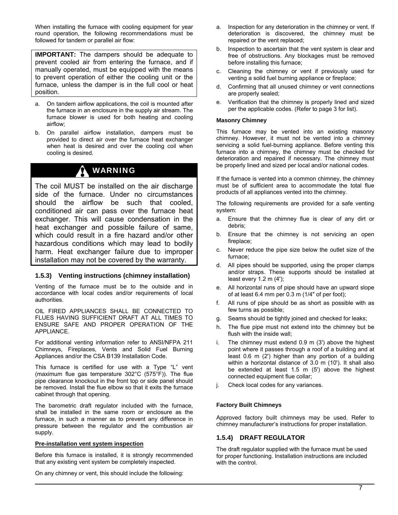When installing the furnace with cooling equipment for year round operation, the following recommendations must be followed for tandem or parallel air flow:

**IMPORTANT:** The dampers should be adequate to prevent cooled air from entering the furnace, and if manually operated, must be equipped with the means to prevent operation of either the cooling unit or the furnace, unless the damper is in the full cool or heat position.

- a. On tandem airflow applications, the coil is mounted after the furnace in an enclosure in the supply air stream. The furnace blower is used for both heating and cooling airflow;
- b. On parallel airflow installation, dampers must be provided to direct air over the furnace heat exchanger when heat is desired and over the cooling coil when cooling is desired.

## WARNING

The coil MUST be installed on the air discharge side of the furnace. Under no circumstances should the airflow be such that cooled, conditioned air can pass over the furnace heat exchanger. This will cause condensation in the heat exchanger and possible failure of same, which could result in a fire hazard and/or other hazardous conditions which may lead to bodily harm. Heat exchanger failure due to improper installation may not be covered by the warranty.

#### **1.5.3) Venting instructions (chimney installation)**

Venting of the furnace must be to the outside and in accordance with local codes and/or requirements of local authorities.

OIL FIRED APPLIANCES SHALL BE CONNECTED TO FLUES HAVING SUFFICIENT DRAFT AT ALL TIMES TO ENSURE SAFE AND PROPER OPERATION OF THE APPLIANCE.

For additional venting information refer to ANSI/NFPA 211 Chimneys, Fireplaces, Vents and Solid Fuel Burning Appliances and/or the CSA B139 Installation Code.

This furnace is certified for use with a Type "L" vent (maximum flue gas temperature 302°C (575°F)). The flue pipe clearance knockout in the front top or side panel should be removed. Install the flue elbow so that it exits the furnace cabinet through that opening.

The barometric draft regulator included with the furnace, shall be installed in the same room or enclosure as the furnace, in such a manner as to prevent any difference in pressure between the regulator and the combustion air supply.

#### **Pre-installation vent system inspection**

Before this furnace is installed, it is strongly recommended that any existing vent system be completely inspected.

On any chimney or vent, this should include the following:

- a. Inspection for any deterioration in the chimney or vent. If deterioration is discovered, the chimney must be repaired or the vent replaced;
- b. Inspection to ascertain that the vent system is clear and free of obstructions. Any blockages must be removed before installing this furnace;
- c. Cleaning the chimney or vent if previously used for venting a solid fuel burning appliance or fireplace;
- d. Confirming that all unused chimney or vent connections are properly sealed;
- e. Verification that the chimney is properly lined and sized per the applicable codes. (Refer to page 3 for list).

#### **Masonry Chimney**

This furnace may be vented into an existing masonry chimney. However, it must not be vented into a chimney servicing a solid fuel-burning appliance. Before venting this furnace into a chimney, the chimney must be checked for deterioration and repaired if necessary. The chimney must be properly lined and sized per local and/or national codes.

If the furnace is vented into a common chimney, the chimney must be of sufficient area to accommodate the total flue products of all appliances vented into the chimney.

The following requirements are provided for a safe venting system:

- a. Ensure that the chimney flue is clear of any dirt or debris;
- b. Ensure that the chimney is not servicing an open fireplace;
- c. Never reduce the pipe size below the outlet size of the furnace;
- d. All pipes should be supported, using the proper clamps and/or straps. These supports should be installed at least every 1.2 m (4');
- e. All horizontal runs of pipe should have an upward slope of at least 6.4 mm per 0.3 m (1/4" of per foot);
- f. All runs of pipe should be as short as possible with as few turns as possible;
- g. Seams should be tightly joined and checked for leaks;
- h. The flue pipe must not extend into the chimney but be flush with the inside wall;
- i. The chimney must extend 0.9 m (3') above the highest point where it passes through a roof of a building and at least 0.6 m (2') higher than any portion of a building within a horizontal distance of 3.0 m (10'). It shall also be extended at least 1.5 m (5') above the highest connected equipment flue collar;
- j. Check local codes for any variances.

#### **Factory Built Chimneys**

Approved factory built chimneys may be used. Refer to chimney manufacturer's instructions for proper installation.

#### **1.5.4) DRAFT REGULATOR**

The draft regulator supplied with the furnace must be used for proper functioning. Installation instructions are included with the control.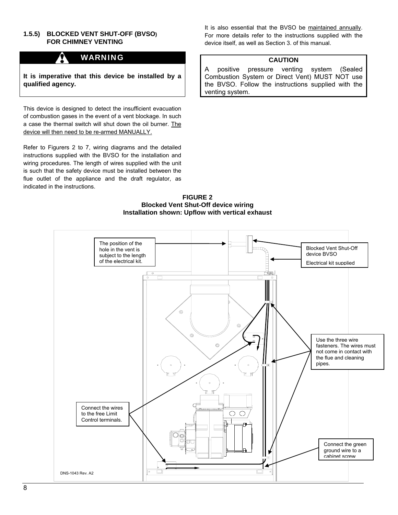#### **1.5.5) BLOCKED VENT SHUT-OFF (BVSO) FOR CHIMNEY VENTING**

### WARNING

**It is imperative that this device be installed by a qualified agency.** 

This device is designed to detect the insufficient evacuation of combustion gases in the event of a vent blockage. In such a case the thermal switch will shut down the oil burner. The device will then need to be re-armed MANUALLY.

Refer to Figurers 2 to 7, wiring diagrams and the detailed instructions supplied with the BVSO for the installation and wiring procedures. The length of wires supplied with the unit is such that the safety device must be installed between the flue outlet of the appliance and the draft regulator, as indicated in the instructions.

It is also essential that the BVSO be maintained annually. For more details refer to the instructions supplied with the device itself, as well as Section 3. of this manual.

#### **CAUTION**

A positive pressure venting system (Sealed Combustion System or Direct Vent) MUST NOT use the BVSO. Follow the instructions supplied with the venting system.

**FIGURE 2 Blocked Vent Shut-Off device wiring Installation shown: Upflow with vertical exhaust** 

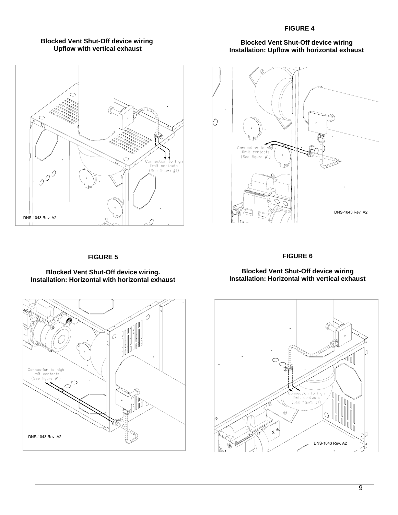#### **FIGURE 4**

#### **Blocked Vent Shut-Off device wiring Upflow with vertical exhaust**



#### **Blocked Vent Shut-Off device wiring Installation: Upflow with horizontal exhaust**



#### **FIGURE 5**

#### **FIGURE 6**

#### **Blocked Vent Shut-Off device wiring. Installation: Horizontal with horizontal exhaust**

#### **Blocked Vent Shut-Off device wiring Installation: Horizontal with vertical exhaust**



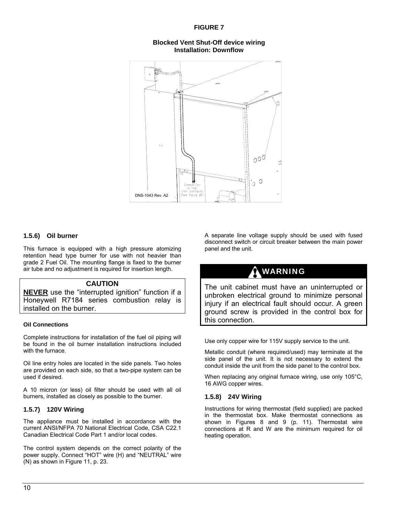#### **FIGURE 7**

**Blocked Vent Shut-Off device wiring Installation: Downflow** 



#### **1.5.6) Oil burner**

This furnace is equipped with a high pressure atomizing retention head type burner for use with not heavier than grade 2 Fuel Oil. The mounting flange is fixed to the burner air tube and no adjustment is required for insertion length.

#### **CAUTION**

**NEVER** use the "interrupted ignition" function if a Honeywell R7184 series combustion relay is installed on the burner.

#### **Oil Connections**

Complete instructions for installation of the fuel oil piping will be found in the oil burner installation instructions included with the furnace.

Oil line entry holes are located in the side panels. Two holes are provided on each side, so that a two-pipe system can be used if desired.

A 10 micron (or less) oil filter should be used with all oil burners, installed as closely as possible to the burner.

#### **1.5.7) 120V Wiring**

The appliance must be installed in accordance with the current ANSI/NFPA 70 National Electrical Code, CSA C22.1 Canadian Electrical Code Part 1 and/or local codes.

The control system depends on the correct polarity of the power supply. Connect "HOT" wire (H) and "NEUTRAL" wire (N) as shown in Figure 11, p. 23.

A separate line voltage supply should be used with fused disconnect switch or circuit breaker between the main power panel and the unit.

## WARNING

The unit cabinet must have an uninterrupted or unbroken electrical ground to minimize personal injury if an electrical fault should occur. A green ground screw is provided in the control box for this connection.

Use only copper wire for 115V supply service to the unit.

Metallic conduit (where required/used) may terminate at the side panel of the unit. It is not necessary to extend the conduit inside the unit from the side panel to the control box.

When replacing any original furnace wiring, use only 105°C, 16 AWG copper wires.

#### **1.5.8) 24V Wiring**

Instructions for wiring thermostat (field supplied) are packed in the thermostat box. Make thermostat connections as shown in Figures 8 and 9 (p. 11). Thermostat wire connections at R and W are the minimum required for oil heating operation.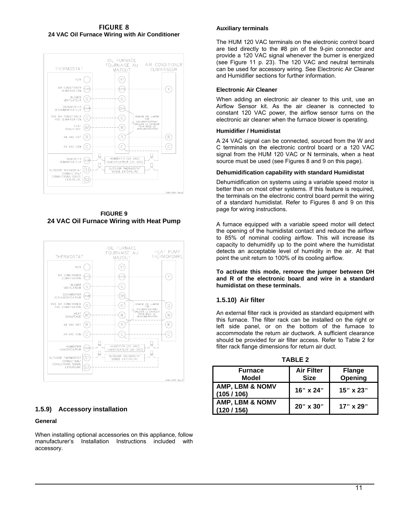FIGURE 8 **24 VAC Oil Furnace Wiring with Air Conditioner** 



**FIGURE 9 24 VAC Oil Furnace Wiring with Heat Pump**



#### **1.5.9) Accessory installation**

#### **General**

When installing optional accessories on this appliance, follow<br>manufacturer's lnstallation Instructions included with manufacturer's Installation Instructions included with accessory.

#### **Auxiliary terminals**

The HUM 120 VAC terminals on the electronic control board are tied directly to the #8 pin of the 9-pin connector and provide a 120 VAC signal whenever the burner is energized (see Figure 11 p. 23). The 120 VAC and neutral terminals can be used for accessory wiring. See Electronic Air Cleaner and Humidifier sections for further information.

#### **Electronic Air Cleaner**

When adding an electronic air cleaner to this unit, use an Airflow Sensor kit. As the air cleaner is connected to constant 120 VAC power, the airflow sensor turns on the electronic air cleaner when the furnace blower is operating.

#### **Humidifier / Humidistat**

A 24 VAC signal can be connected, sourced from the W and C terminals on the electronic control board or a 120 VAC signal from the HUM 120 VAC or N terminals, when a heat source must be used (see Figures 8 and 9 on this page).

#### **Dehumidification capability with standard Humidistat**

Dehumidification on systems using a variable speed motor is better than on most other systems. If this feature is required, the terminals on the electronic control board permit the wiring of a standard humidistat. Refer to Figures 8 and 9 on this page for wiring instructions.

A furnace equipped with a variable speed motor will detect the opening of the humidistat contact and reduce the airflow to 85% of nominal cooling airflow. This will increase its capacity to dehumidify up to the point where the humidistat detects an acceptable level of humidity in the air. At that point the unit return to 100% of its cooling airflow.

**To activate this mode, remove the jumper between DH and R of the electronic board and wire in a standard humidistat on these terminals.** 

#### **1.5.10) Air filter**

An external filter rack is provided as standard equipment with this furnace. The filter rack can be installed on the right or left side panel, or on the bottom of the furnace to accommodate the return air ductwork. A sufficient clearance should be provided for air filter access. Refer to Table 2 for filter rack flange dimensions for return air duct.

| $I$ ABLE $Z$                            |                   |               |  |  |  |  |  |  |
|-----------------------------------------|-------------------|---------------|--|--|--|--|--|--|
| <b>Furnace</b>                          | <b>Air Filter</b> | <b>Flange</b> |  |  |  |  |  |  |
| Model                                   | <b>Size</b>       | Opening       |  |  |  |  |  |  |
| AMP, LBM & NOMV<br>(105/106)            | 16" x 24"         | 15" x 23"     |  |  |  |  |  |  |
| <b>AMP, LBM &amp; NOMV</b><br>(120/156) | 20" x 30"         | 17" x 29"     |  |  |  |  |  |  |

**TABLE 2**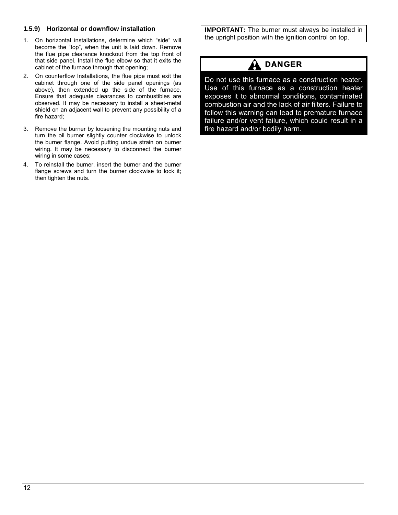#### **1.5.9) Horizontal or downflow installation**

- 1. On horizontal installations, determine which "side" will become the "top", when the unit is laid down. Remove the flue pipe clearance knockout from the top front of that side panel. Install the flue elbow so that it exits the cabinet of the furnace through that opening;
- 2. On counterflow Installations, the flue pipe must exit the cabinet through one of the side panel openings (as above), then extended up the side of the furnace. Ensure that adequate clearances to combustibles are observed. It may be necessary to install a sheet-metal shield on an adjacent wall to prevent any possibility of a fire hazard;
- 3. Remove the burner by loosening the mounting nuts and turn the oil burner slightly counter clockwise to unlock the burner flange. Avoid putting undue strain on burner wiring. It may be necessary to disconnect the burner wiring in some cases;
- 4. To reinstall the burner, insert the burner and the burner flange screws and turn the burner clockwise to lock it; then tighten the nuts.

**IMPORTANT:** The burner must always be installed in the upright position with the ignition control on top.

## DANGER

Do not use this furnace as a construction heater. Use of this furnace as a construction heater exposes it to abnormal conditions, contaminated combustion air and the lack of air filters. Failure to follow this warning can lead to premature furnace failure and/or vent failure, which could result in a fire hazard and/or bodily harm.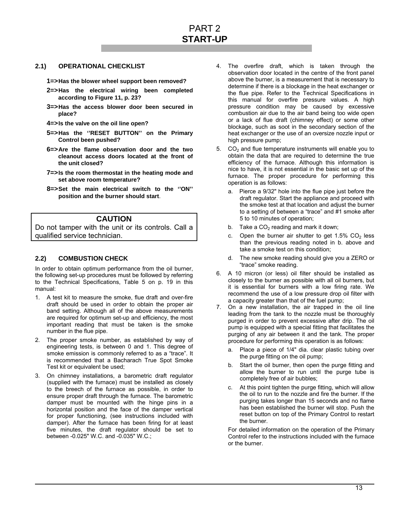#### **2.1) OPERATIONAL CHECKLIST**

**1=> Has the blower wheel support been removed?** 

- **2=> Has the electrical wiring been completed according to Figure 11, p. 23?**
- **3=> Has the access blower door been secured in place?**
- **4=> Is the valve on the oil line open?**
- **5=> Has the ''RESET BUTTON'' on the Primary Control been pushed?**
- **6=> Are the flame observation door and the two cleanout access doors located at the front of the unit closed?**
- **7=> Is the room thermostat in the heating mode and set above room temperature?**
- **8=> Set the main electrical switch to the ''ON'' position and the burner should start**.

#### **CAUTION**

Do not tamper with the unit or its controls. Call a qualified service technician.

#### **2.2) COMBUSTION CHECK**

In order to obtain optimum performance from the oil burner, the following set-up procedures must be followed by referring to the Technical Specifications, Table 5 on p. 19 in this manual:

- 1. A test kit to measure the smoke, flue draft and over-fire draft should be used in order to obtain the proper air band setting. Although all of the above measurements are required for optimum set-up and efficiency, the most important reading that must be taken is the smoke number in the flue pipe.
- 2. The proper smoke number, as established by way of engineering tests, is between 0 and 1. This degree of smoke emission is commonly referred to as a "trace". It is recommended that a Bacharach True Spot Smoke Test kit or equivalent be used;
- 3. On chimney installations, a barometric draft regulator (supplied with the furnace) must be installed as closely to the breech of the furnace as possible, in order to ensure proper draft through the furnace. The barometric damper must be mounted with the hinge pins in a horizontal position and the face of the damper vertical for proper functioning, (see instructions included with damper). After the furnace has been firing for at least five minutes, the draft regulator should be set to between -0.025" W.C. and -0.035" W.C.;
- 4. The overfire draft, which is taken through the observation door located in the centre of the front panel above the burner, is a measurement that is necessary to determine if there is a blockage in the heat exchanger or the flue pipe. Refer to the Technical Specifications in this manual for overfire pressure values. A high pressure condition may be caused by excessive combustion air due to the air band being too wide open or a lack of flue draft (chimney effect) or some other blockage, such as soot in the secondary section of the heat exchanger or the use of an oversize nozzle input or high pressure pump;
- 5.  $CO<sub>2</sub>$  and flue temperature instruments will enable you to obtain the data that are required to determine the true efficiency of the furnace. Although this information is nice to have, it is not essential in the basic set up of the furnace. The proper procedure for performing this operation is as follows:
	- a. Pierce a 9/32" hole into the flue pipe just before the draft regulator. Start the appliance and proceed with the smoke test at that location and adjust the burner to a setting of between a "trace" and #1 smoke after 5 to 10 minutes of operation;
	- b. Take a  $CO<sub>2</sub>$  reading and mark it down;
	- c. Open the burner air shutter to get  $1.5\%$  CO<sub>2</sub> less than the previous reading noted in b. above and take a smoke test on this condition;
	- d. The new smoke reading should give you a ZERO or "trace" smoke reading.
- 6. A 10 micron (or less) oil filter should be installed as closely to the burner as possible with all oil burners, but it is essential for burners with a low firing rate. We recommend the use of a low pressure drop oil filter with a capacity greater than that of the fuel pump;
- 7. On a new installation, the air trapped in the oil line leading from the tank to the nozzle must be thoroughly purged in order to prevent excessive after drip. The oil pump is equipped with a special fitting that facilitates the purging of any air between it and the tank. The proper procedure for performing this operation is as follows:
	- a. Place a piece of 1/4" dia. clear plastic tubing over the purge fitting on the oil pump;
	- b. Start the oil burner, then open the purge fitting and allow the burner to run until the purge tube is completely free of air bubbles;
	- c. At this point tighten the purge fitting, which will allow the oil to run to the nozzle and fire the burner. If the purging takes longer than 15 seconds and no flame has been established the burner will stop. Push the reset button on top of the Primary Control to restart the burner.

For detailed information on the operation of the Primary Control refer to the instructions included with the furnace or the burner.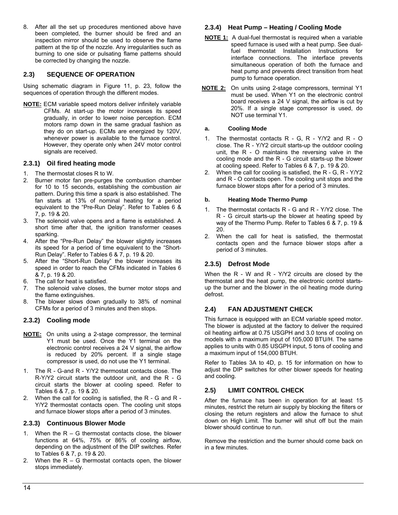8. After all the set up procedures mentioned above have been completed, the burner should be fired and an inspection mirror should be used to observe the flame pattern at the tip of the nozzle. Any irregularities such as burning to one side or pulsating flame patterns should be corrected by changing the nozzle.

#### **2.3) SEQUENCE OF OPERATION**

Using schematic diagram in Figure 11, p. 23, follow the sequences of operation through the different modes.

**NOTE:** ECM variable speed motors deliver infinitely variable CFMs. At start-up the motor increases its speed gradually, in order to lower noise perception. ECM motors ramp down in the same gradual fashion as they do on start-up. ECMs are energized by 120V, whenever power is available to the furnace control. However, they operate only when 24V motor control signals are received.

#### **2.3.1) Oil fired heating mode**

- 1. The thermostat closes R to W.
- 2. Burner motor fan pre-purges the combustion chamber for 10 to 15 seconds, establishing the combustion air pattern. During this time a spark is also established. The fan starts at 13% of nominal heating for a period equivalent to the "Pre-Run Delay". Refer to Tables 6 & 7, p. 19 & 20.
- 3. The solenoid valve opens and a flame is established. A short time after that, the ignition transformer ceases sparking.
- 4. After the "Pre-Run Delay" the blower slightly increases its speed for a period of time equivalent to the "Short-Run Delay". Refer to Tables 6 & 7, p. 19 & 20.
- 5. After the "Short-Run Delay" the blower increases its speed in order to reach the CFMs indicated in Tables 6 & 7, p. 19 & 20.
- The call for heat is satisfied.
- 7. The solenoid valve closes, the burner motor stops and the flame extinguishes.
- 8. The blower slows down gradually to 38% of nominal CFMs for a period of 3 minutes and then stops.

#### **2.3.2) Cooling mode**

- **NOTE:** On units using a 2-stage compressor, the terminal Y1 must be used. Once the Y1 terminal on the electronic control receives a 24 V signal, the airflow is reduced by 20% percent. If a single stage compressor is used, do not use the Y1 terminal.
- 1. The R G-and R Y/Y2 thermostat contacts close. The R-Y/Y2 circuit starts the outdoor unit, and the R - G circuit starts the blower at cooling speed. Refer to Tables 6 & 7, p. 19 & 20.
- 2. When the call for cooling is satisfied, the R G and R Y/Y2 thermostat contacts open. The cooling unit stops and furnace blower stops after a period of 3 minutes.

#### **2.3.3) Continuous Blower Mode**

- 1. When the  $R G$  thermostat contacts close, the blower functions at 64%, 75% or 86% of cooling airflow, depending on the adjustment of the DIP switches. Refer to Tables 6 & 7, p. 19 & 20.
- 2. When the  $R G$  thermostat contacts open, the blower stops immediately.

#### **2.3.4) Heat Pump – Heating / Cooling Mode**

- **NOTE 1:** A dual-fuel thermostat is required when a variable speed furnace is used with a heat pump. See dualfuel thermostat Installation Instructions for interface connections. The interface prevents simultaneous operation of both the furnace and heat pump and prevents direct transition from heat pump to furnace operation.
- **NOTE 2:** On units using 2-stage compressors, terminal Y1 must be used. When Y1 on the electronic control board receives a 24 V signal, the airflow is cut by 20%. If a single stage compressor is used, do NOT use terminal Y1.

#### **a. Cooling Mode**

- 1. The thermostat contacts R G, R Y/Y2 and R O close. The R - Y/Y2 circuit starts-up the outdoor cooling unit, the R - O maintains the reversing valve in the cooling mode and the R - G circuit starts-up the blower at cooling speed. Refer to Tables 6 & 7, p. 19 & 20.
- 2. When the call for cooling is satisfied, the R G, R Y/Y2 and R - O contacts open. The cooling unit stops and the furnace blower stops after for a period of 3 minutes.

#### **b. Heating Mode Thermo Pump**

- 1. The thermostat contacts R G and R Y/Y2 close. The R - G circuit starts-up the blower at heating speed by way of the Thermo Pump. Refer to Tables 6 & 7, p. 19 & 20.
- 2. When the call for heat is satisfied, the thermostat contacts open and the furnace blower stops after a period of 3 minutes.

#### **2.3.5) Defrost Mode**

When the R - W and R - Y/Y2 circuits are closed by the thermostat and the heat pump, the electronic control startsup the burner and the blower in the oil heating mode during defrost.

#### **2.4) FAN ADJUSTMENT CHECK**

This furnace is equipped with an ECM variable speed motor. The blower is adjusted at the factory to deliver the required oil heating airflow at 0.75 USGPH and 3.0 tons of cooling on models with a maximum input of 105,000 BTU/H. The same applies to units with 0.85 USGPH input, 5 tons of cooling and a maximum input of 154,000 BTUH.

Refer to Tables 3A to 4D, p. 15 for information on how to adjust the DIP switches for other blower speeds for heating and cooling.

#### **2.5) LIMIT CONTROL CHECK**

After the furnace has been in operation for at least 15 minutes, restrict the return air supply by blocking the filters or closing the return registers and allow the furnace to shut down on High Limit. The burner will shut off but the main blower should continue to run.

Remove the restriction and the burner should come back on in a few minutes.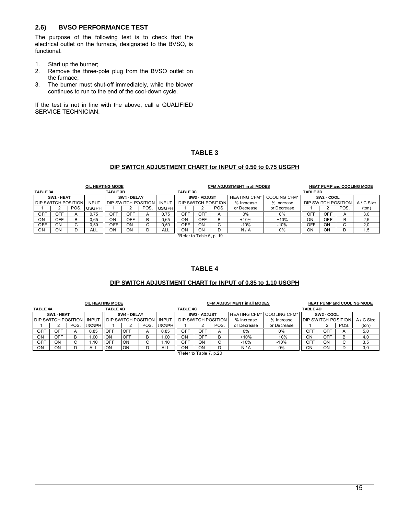#### **2.6) BVSO PERFORMANCE TEST**

The purpose of the following test is to check that the electrical outlet on the furnace, designated to the BVSO, is functional.

- 1. Start up the burner;<br>2. Remove the three-
- Remove the three-pole plug from the BVSO outlet on the furnace;
- 3. The burner must shut-off immediately, while the blower continues to run to the end of the cool-down cycle.

If the test is not in line with the above, call a QUALIFIED SERVICE TECHNICIAN.

#### **TABLE 3**

#### **DIP SWITCH ADJUSTMENT CHART for INPUT of 0.50 to 0.75 USGPH**

| <b>TABLE 3A</b>             |            |      | OIL HEATING MODE | <b>TABLE 3B</b> |             |                            |              | <b>TABLE 3C</b>             |              |                          | <b>CFM ADJUSTMENT in all MODES</b> |                     | <b>TABLE 3D</b>            |                        |            | <b>HEAT PUMP and COOLING MODE</b> |
|-----------------------------|------------|------|------------------|-----------------|-------------|----------------------------|--------------|-----------------------------|--------------|--------------------------|------------------------------------|---------------------|----------------------------|------------------------|------------|-----------------------------------|
|                             | SW1 - HEAT |      |                  |                 | SW4 - DELAY |                            |              |                             | SW3 - ADJUST |                          | <b>HEATING CFM*</b>                | <b>COOLING CFM*</b> |                            | SW <sub>2</sub> - COOL |            |                                   |
| <b>IDIP SWITCH POSITION</b> |            |      | <b>INPUT</b>     |                 |             | <b>DIP SWITCH POSITION</b> | <b>INPUT</b> | <b>IDIP SWITCH POSITION</b> |              |                          | % Increase                         | % Increase          | <b>DIP SWITCH POSITION</b> |                        |            | A / C Size                        |
|                             |            | POS. | <b>USGPH</b>     |                 |             | POS                        | <b>USGPH</b> |                             |              | POS.                     | or Decrease                        | or Decrease         |                            |                        | <b>POS</b> | (ton)                             |
| OFF                         | OFF        |      | 0.75             | OFF.            | OFF         | $\overline{A}$             | 0.75         | OFF                         | OFF          | А                        | $0\%$                              | 0%                  | OFF                        | OFF.                   |            | 3,0                               |
| ON                          | OFF        |      | 0,65             | ΟN              | OFF         | в                          | 0,65         | ΟN                          | OFF          | в                        | $+10%$                             | $+10%$              | <b>ON</b>                  | OFF                    |            | 2,5                               |
| OFF                         | ON         |      | 0.50             | OFF             | ON          |                            | 0.50         | <b>OFF</b>                  | ON           | $\sim$<br>◡              | $-10%$                             | $-10%$              | OFF                        | OΝ                     |            | 2,0                               |
| ON                          | ON         |      | ALL              | OΝ              | ON          |                            | ALL          | ON<br>$\sim$                | OΝ<br>_ _    | $\overline{\phantom{a}}$ | N / A                              | 0%                  | ON                         | OΝ                     |            | 1,5                               |

\*Refer to Table 6, p. 19

#### **TABLE 4**

#### **DIP SWITCH ADJUSTMENT CHART for INPUT of 0.85 to 1.10 USGPH**

|                              |            |                | OIL HEATING MODE |                 |                              |     |              |                              |              |                         | <b>CFM ADJUSTMENT in all MODES</b> |                                  |                             |                        |            | <b>HEAT PUMP and COOLING MODE</b> |
|------------------------------|------------|----------------|------------------|-----------------|------------------------------|-----|--------------|------------------------------|--------------|-------------------------|------------------------------------|----------------------------------|-----------------------------|------------------------|------------|-----------------------------------|
| TABLE 4A                     |            |                |                  | <b>TABLE 4B</b> |                              |     |              | <b>TABLE 4C</b>              |              |                         |                                    |                                  | <b>TABLE 4D</b>             |                        |            |                                   |
|                              | SW1 - HEAT |                |                  |                 | SW4 - DELAY                  |     |              |                              | SW3 - ADJUST |                         |                                    | <b>HEATING CFM* COOLING CFM*</b> |                             | SW <sub>2</sub> - COOL |            |                                   |
| <b>I DIP SWITCH POSITION</b> |            |                | <b>INPUT</b>     |                 | <b>I DIP SWITCH POSITION</b> |     | <b>INPUT</b> | <b>I DIP SWITCH POSITION</b> |              |                         | % Increase                         | % Increase                       | <b>IDIP SWITCH POSITION</b> |                        |            | A / C Size                        |
|                              |            | POS            | <b>IUSGPH</b>    |                 |                              | POS | <b>USGPH</b> |                              |              | POS.                    | or Decrease                        | or Decrease                      |                             |                        | <b>POS</b> | (ton)                             |
| <b>OFF</b>                   | OFF        | $\overline{A}$ | 0.85             | <b>IOFF</b>     | <b>OFF</b>                   |     | 0.85         | OFF                          | <b>OFF</b>   | $\overline{\mathsf{A}}$ | $0\%$                              | 0%                               | OFF                         | <b>OFF</b>             | А          | 5,0                               |
| ON                           | OFF        |                | .00              | <b>ION</b>      | OFF                          |     | .00          | ΟN                           | <b>OFF</b>   | B                       | $+10%$                             | $+10%$                           | ON                          | OFF                    | в          | 4,0                               |
| OFF                          | ΟN         |                | .10              | <b>IOFF</b>     | ON                           |     | .10          | OFF                          | ON           |                         | -10%                               | -10%                             | OFF                         | ON                     |            | 3,5                               |
| ΟN                           | ΟN         |                | ALL              | <b>ION</b>      | ON                           |     | ALL          | OΝ                           | ON           | υ                       | N/A                                | 0%                               | ON                          | ON                     |            | 3,0                               |

\*Refer to Table 7, p.20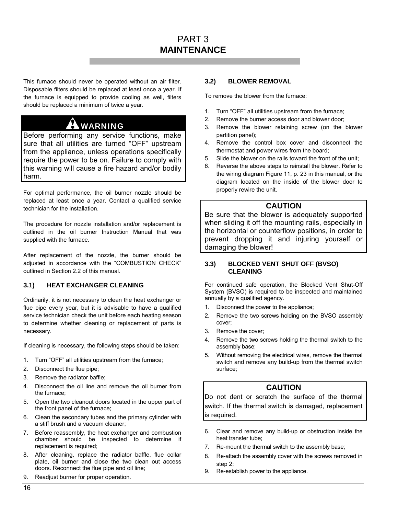## PART 3 **MAINTENANCE**

This furnace should never be operated without an air filter. Disposable filters should be replaced at least once a year. If the furnace is equipped to provide cooling as well, filters should be replaced a minimum of twice a year.

#### Ŵ WARNING

Before performing any service functions, make sure that all utilities are turned "OFF" upstream from the appliance, unless operations specifically require the power to be on. Failure to comply with this warning will cause a fire hazard and/or bodily harm.

For optimal performance, the oil burner nozzle should be replaced at least once a year. Contact a qualified service technician for the installation.

The procedure for nozzle installation and/or replacement is outlined in the oil burner Instruction Manual that was supplied with the furnace.

After replacement of the nozzle, the burner should be adjusted in accordance with the "COMBUSTION CHECK" outlined in Section 2.2 of this manual.

#### **3.1) HEAT EXCHANGER CLEANING**

Ordinarily, it is not necessary to clean the heat exchanger or flue pipe every year, but it is advisable to have a qualified service technician check the unit before each heating season to determine whether cleaning or replacement of parts is necessary.

If cleaning is necessary, the following steps should be taken:

- 1. Turn "OFF" all utilities upstream from the furnace;
- 2. Disconnect the flue pipe;
- 3. Remove the radiator baffle;
- 4. Disconnect the oil line and remove the oil burner from the furnace;
- 5. Open the two cleanout doors located in the upper part of the front panel of the furnace;
- 6. Clean the secondary tubes and the primary cylinder with a stiff brush and a vacuum cleaner;
- 7. Before reassembly, the heat exchanger and combustion chamber should be inspected to determine if replacement is required;
- 8. After cleaning, replace the radiator baffle, flue collar plate, oil burner and close the two clean out access doors. Reconnect the flue pipe and oil line;
- 9. Readjust burner for proper operation.

#### **3.2) BLOWER REMOVAL**

To remove the blower from the furnace:

- 1. Turn "OFF" all utilities upstream from the furnace;
- 2. Remove the burner access door and blower door;
- 3. Remove the blower retaining screw (on the blower partition panel);
- 4. Remove the control box cover and disconnect the thermostat and power wires from the board;
- 5. Slide the blower on the rails toward the front of the unit;
- 6. Reverse the above steps to reinstall the blower. Refer to the wiring diagram Figure 11, p. 23 in this manual, or the diagram located on the inside of the blower door to properly rewire the unit.

#### **CAUTION**

Be sure that the blower is adequately supported when sliding it off the mounting rails, especially in the horizontal or counterflow positions, in order to prevent dropping it and injuring yourself or damaging the blower!

#### **3.3) BLOCKED VENT SHUT OFF (BVSO) CLEANING**

For continued safe operation, the Blocked Vent Shut-Off System (BVSO) is required to be inspected and maintained annually by a qualified agency.

- 1. Disconnect the power to the appliance;
- 2. Remove the two screws holding on the BVSO assembly cover;
- 3. Remove the cover;
- 4. Remove the two screws holding the thermal switch to the assembly base;
- 5. Without removing the electrical wires, remove the thermal switch and remove any build-up from the thermal switch surface;

#### **CAUTION**

Do not dent or scratch the surface of the thermal switch. If the thermal switch is damaged, replacement is required.

- 6. Clear and remove any build-up or obstruction inside the heat transfer tube;
- 7. Re-mount the thermal switch to the assembly base;
- 8. Re-attach the assembly cover with the screws removed in step 2;
- 9. Re-establish power to the appliance.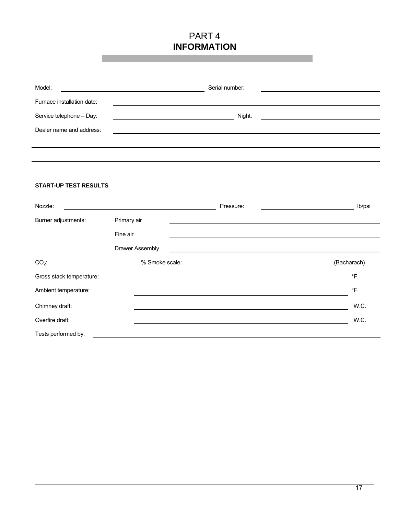## PART 4 **INFORMATION**

| Model:                       |                 | Serial number:                                                                                                       |             |
|------------------------------|-----------------|----------------------------------------------------------------------------------------------------------------------|-------------|
| Furnace installation date:   |                 |                                                                                                                      |             |
| Service telephone - Day:     |                 | Night:                                                                                                               |             |
| Dealer name and address:     |                 |                                                                                                                      |             |
|                              |                 |                                                                                                                      |             |
|                              |                 |                                                                                                                      |             |
|                              |                 |                                                                                                                      |             |
| <b>START-UP TEST RESULTS</b> |                 |                                                                                                                      |             |
| Nozzle:                      |                 | Pressure:                                                                                                            | lb/psi      |
| Burner adjustments:          | Primary air     |                                                                                                                      |             |
|                              | Fine air        |                                                                                                                      |             |
|                              | Drawer Assembly |                                                                                                                      |             |
| $CO2$ :                      | % Smoke scale:  | <u> 1980 - Johann Barn, mars ann an t-Amhain Aonaich an t-Aonaich an t-Aonaich ann an t-Aonaich ann an t-Aonaich</u> | (Bacharach) |
| Gross stack temperature:     |                 |                                                                                                                      | $\circ$ F   |
| Ambient temperature:         |                 |                                                                                                                      | $\circ$ F   |
| Chimney draft:               |                 |                                                                                                                      | "W.C.       |
| Overfire draft:              |                 |                                                                                                                      | "W.C.       |
| Tests performed by:          |                 |                                                                                                                      |             |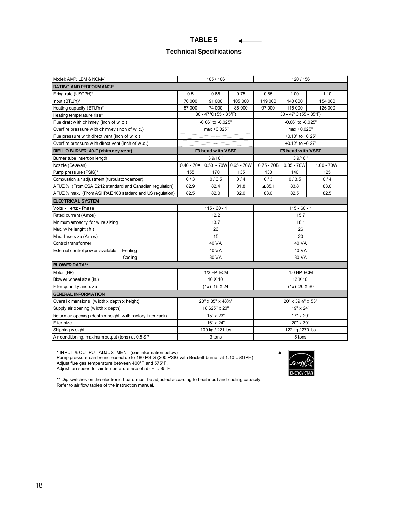| RL<br>-<br>АD |  |
|---------------|--|
|---------------|--|

#### **Technical Specifications**

| Model: AMP, LBM & NOMV                                        |              | 105 / 106               |         | 120 / 156    |                       |              |  |
|---------------------------------------------------------------|--------------|-------------------------|---------|--------------|-----------------------|--------------|--|
| <b>RATING AND PERFORM ANCE</b>                                |              |                         |         |              |                       |              |  |
| Firing rate (USGPH)*                                          | 0.5          | 0.65                    | 0.75    | 0.85         | 1.00                  | 1.10         |  |
| Input (BTU/h)*                                                | 70 000       | 91 000                  | 105 000 | 119 000      | 140 000               | 154 000      |  |
| Heating capacity (BTU/h)*                                     | 57 000       | 74 000                  | 85 000  | 97 000       | 115 000               | 126 000      |  |
| Heating temperature rise*                                     |              | 30 - 47°C (55 - 85°F)   |         |              | 30 - 47°C (55 - 85°F) |              |  |
| Flue draft with chimney (inch of w.c.)                        |              | -0.06" to -0.025"       |         |              | -0.06" to -0.025"     |              |  |
| Overfire pressure with chimney (inch of w.c.)                 |              | max +0.025"             |         |              | max +0.025"           |              |  |
| Flue pressure with direct vent (inch of w.c.)                 |              |                         |         |              | +0.10" to +0.25"      |              |  |
| Overfire pressure with direct vent (inch of w.c.)             |              |                         |         |              | +0.12" to +0.27"      |              |  |
| RIELLO BURNER; 40-F (chimney vent)                            |              | F3 head with VSBT       |         |              | F5 head with VSBT     |              |  |
| Burner tube insertion length                                  |              | 3 9/16"                 |         |              | 3 9/16"               |              |  |
| Nozzle (Delavan)                                              | $0.40 - 70A$ | $0.50 - 70W$ 0.65 - 70W |         | $0.75 - 70B$ | $0.85 - 70W$          | $1.00 - 70W$ |  |
| Pump pressure (PSIG)*                                         | 155          | 170                     | 135     | 130          | 140                   | 125          |  |
| Combustion air adjustment (turbulator/damper)                 | 0/3          | 0/3.5                   | 0/4     | 0/3          | 0/3.5                 | 0/4          |  |
| AFUE % (From CSA B212 standard and Canadian regulation)       | 82.9         | 82.4                    | 81.8    | ▲85.1        | 83.8                  | 83.0         |  |
| AFUE % max. (From ASHRAE 103 stadard and US regulation)       | 82.5         | 82.0                    | 82.0    | 83.0         | 82.5                  | 82.5         |  |
| <b>ELECTRICAL SYSTEM</b>                                      |              |                         |         |              |                       |              |  |
| Volts - Hertz - Phase                                         |              | $115 - 60 - 1$          |         |              | $115 - 60 - 1$        |              |  |
| Rated current (Amps)                                          |              | 12.2                    |         | 15.7         |                       |              |  |
| Minimum ampacity for w ire sizing                             |              | 13.7                    |         | 18.1         |                       |              |  |
| Max. wire lenght (ft.)                                        |              | 26                      |         | 26           |                       |              |  |
| Max. fuse size (Amps)                                         |              | 15                      |         | 20           |                       |              |  |
| Control transformer                                           |              | 40 VA                   |         | 40 VA        |                       |              |  |
| External control pow er available<br>Heating                  |              | 40 VA                   |         | 40 VA        |                       |              |  |
| Cooling                                                       |              | 30 VA                   |         | 30 VA        |                       |              |  |
| <b>BLOWER DATA**</b>                                          |              |                         |         |              |                       |              |  |
| Motor (HP)                                                    |              | 1/2 HP ECM              |         |              | 1.0 HP ECM            |              |  |
| Blow er w heel size (in.)                                     |              | 10 X 10                 |         | 12 X 10      |                       |              |  |
| Filter quantity and size                                      |              | $(1x)$ 16 $X$ 24        |         |              | $(1x)$ 20 $X$ 30      |              |  |
| <b>GENERAL INFORMATION</b>                                    |              |                         |         |              |                       |              |  |
| Overall dimensions (width x depth x height)                   |              | 20" x 35" x 48%"        |         |              | 20" x 391/2" x 53"    |              |  |
| Supply air opening (width x depth)                            |              | 18.625" x 20"           |         | 19" x 24"    |                       |              |  |
| Return air opening (depth x height, with factory filter rack) | 15" x 23"    |                         |         | 17" x 29"    |                       |              |  |
| Filter size                                                   |              | 16" x 24"               |         | 20" x 30"    |                       |              |  |
| Shipping w eight                                              |              | 100 kg / 221 lbs        |         |              | 122 kg / 270 lbs      |              |  |
| Air conditioning, maximum output (tons) at 0.5 SP             |              | 3 tons                  |         | 5 tons       |                       |              |  |

\* INPUT & OUTPUT ADJUSTMENT (see information below) ▲ =

Pump pressure can be increased up to 180 PSIG (200 PSIG with Beckett burner at 1.10 USGPH) Adjust flue gas temperature between 400°F and 575°F.

Adjust fan speed for air temperature rise of 55°F to 85°F.



\*\* Dip switches on the electronic board must be adjusted according to heat input and cooling capacity. Refer to air flow tables of the instruction manual.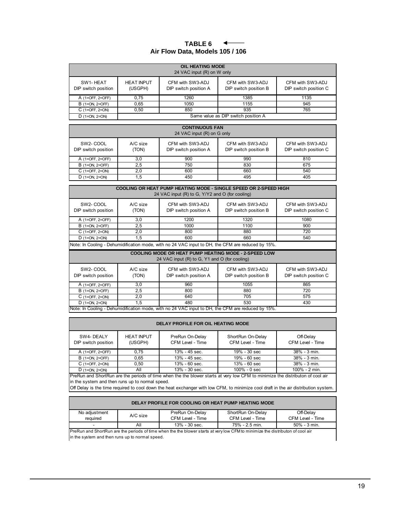#### **TABLE 6**  $\leftarrow$ **Air Flow Data, Models 105 / 106**

| <b>OIL HEATING MODE</b><br>24 VAC input (R) on W only |                              |                                           |                                           |                                           |  |  |  |  |  |  |
|-------------------------------------------------------|------------------------------|-------------------------------------------|-------------------------------------------|-------------------------------------------|--|--|--|--|--|--|
| SW1-HEAT<br>DIP switch position                       | <b>HEAT INPUT</b><br>(USGPH) | CFM with SW3-ADJ<br>DIP switch position A | CFM with SW3-ADJ<br>DIP switch position B | CFM with SW3-ADJ<br>DIP switch position C |  |  |  |  |  |  |
| A (1=OFF, 2=OFF)                                      | 0,75                         | 1260                                      | 1385                                      | 1135                                      |  |  |  |  |  |  |
| $B(1=ON, 2=OFF)$                                      | 0.65                         | 1050                                      | 1155                                      | 945                                       |  |  |  |  |  |  |
| $C(1=OFF, 2=ON)$                                      | 0.50                         | 850                                       | 935                                       | 765                                       |  |  |  |  |  |  |
| $D$ (1=ON, 2=ON)                                      |                              |                                           | Same value as DIP switch position A       |                                           |  |  |  |  |  |  |

| <b>CONTINUOUS FAN</b><br>24 VAC input (R) on G only                                                                                                                                                      |     |     |     |     |  |  |  |  |  |
|----------------------------------------------------------------------------------------------------------------------------------------------------------------------------------------------------------|-----|-----|-----|-----|--|--|--|--|--|
| SW <sub>2</sub> -COOL<br>A/C size<br>CFM with SW3-ADJ<br>CFM with SW3-ADJ<br>CFM with SW3-ADJ<br>DIP switch position A<br>DIP switch position B<br>DIP switch position C<br>DIP switch position<br>(TON) |     |     |     |     |  |  |  |  |  |
| A (1=OFF, 2=OFF)                                                                                                                                                                                         | 3,0 | 900 | 990 | 810 |  |  |  |  |  |
| $B(1=ON, 2=OFF)$                                                                                                                                                                                         | 2,5 | 750 | 830 | 675 |  |  |  |  |  |
| $C(1=OFF, 2=ON)$                                                                                                                                                                                         | 2.0 | 600 | 660 | 540 |  |  |  |  |  |
| $D$ (1=ON, 2=ON)                                                                                                                                                                                         | 1.5 | 450 | 495 | 405 |  |  |  |  |  |

| <b>COOLING OR HEAT PUMP HEATING MODE - SINGLE SPEED OR 2-SPEED HIGH</b><br>24 VAC input (R) to G, Y/Y2 and O (for cooling)                                                                               |     |      |      |      |  |  |  |  |  |
|----------------------------------------------------------------------------------------------------------------------------------------------------------------------------------------------------------|-----|------|------|------|--|--|--|--|--|
| SW <sub>2</sub> -COOL<br>CFM with SW3-ADJ<br>A/C size<br>CFM with SW3-ADJ<br>CFM with SW3-ADJ<br>DIP switch position B<br>DIP switch position C<br>DIP switch position A<br>DIP switch position<br>(TON) |     |      |      |      |  |  |  |  |  |
| A (1=OFF, 2=OFF)                                                                                                                                                                                         | 3.0 | 1200 | 1320 | 1080 |  |  |  |  |  |
| $B(1=ON, 2=OFF)$                                                                                                                                                                                         | 2.5 | 1000 | 1100 | 900  |  |  |  |  |  |
| $C(1=OFF, 2=ON)$                                                                                                                                                                                         | 2.0 | 800  | 880  | 720  |  |  |  |  |  |
| $D$ (1=ON, 2=ON)                                                                                                                                                                                         | 1.5 | 600  | 660  | 540  |  |  |  |  |  |

Note: In Cooling - Dehumidification mode, with no 24 VAC input to DH, the CFM are reduced by 15%.

| <b>COOLING MODE OR HEAT PUMP HEATING MODE - 2-SPEED LOW</b><br>24 VAC input (R) to G, Y1 and O (for cooling)                                                                                             |                          |                                                                                                   |      |     |  |  |  |  |  |
|----------------------------------------------------------------------------------------------------------------------------------------------------------------------------------------------------------|--------------------------|---------------------------------------------------------------------------------------------------|------|-----|--|--|--|--|--|
| SW <sub>2</sub> -COOL<br>CFM with SW3-ADJ<br>A/C size<br>CFM with SW3-ADJ<br>CFM with SW3-ADJ<br>DIP switch position B<br>DIP switch position<br>DIP switch position A<br>DIP switch position C<br>(TON) |                          |                                                                                                   |      |     |  |  |  |  |  |
| A (1=OFF, 2=OFF)                                                                                                                                                                                         | 3.0                      | 960                                                                                               | 1055 | 865 |  |  |  |  |  |
| $B(1=ON, 2=OFF)$                                                                                                                                                                                         | 2,5                      | 800                                                                                               | 880  | 720 |  |  |  |  |  |
| $C(1=OFF, 2=ON)$                                                                                                                                                                                         | 705<br>575<br>640<br>2.0 |                                                                                                   |      |     |  |  |  |  |  |
| 480<br>$D(1=ON, 2=ON)$<br>1.5<br>530<br>430                                                                                                                                                              |                          |                                                                                                   |      |     |  |  |  |  |  |
|                                                                                                                                                                                                          |                          | Note: In Cooling - Dehumidification mode, with no 24 VAC input to DH, the CFM are reduced by 15%. |      |     |  |  |  |  |  |

#### **DELAY PROFILE FOR OIL HEATING MODE**

| SW4-DEALY<br>DIP switch position                                                                                               | <b>HEAT INPUT</b><br>(USGPH) | PreRun On-Delay<br>CFM Level - Time | ShortRun On-Delay<br>CFM Level - Time | Off-Delay<br>CFM Level - Time |  |  |
|--------------------------------------------------------------------------------------------------------------------------------|------------------------------|-------------------------------------|---------------------------------------|-------------------------------|--|--|
| A (1=OFF, 2=OFF)                                                                                                               | 0.75                         | 13% - 45 sec.                       | 19% - 30 sec                          | 38% - 3 min.                  |  |  |
| $B(1=ON, 2=OFF)$                                                                                                               | 0.65                         | $13\% - 45$ sec.                    | $19% - 60$ sec                        | 38% - 3 min.                  |  |  |
| $C(1=OFF, 2=ON)$                                                                                                               | 0.50                         | $13\% - 60$ sec.                    | $13% - 60$ sec                        | 38% - 3 min.                  |  |  |
| $D$ (1=ON, 2=ON)                                                                                                               | All                          | $13\% - 30$ sec.                    | $100\% - 0$ sec                       | 100% - 2 min.                 |  |  |
| PrePup and ShortPup are the periods of time when the the blower starts at year low CEM to minimize the distributon of cool air |                              |                                     |                                       |                               |  |  |

in the system and then runs up to normal speed. PreRun and ShortRun are the periods of time when the the blower starts at very low CFM to minimize the distributon of cool air

Off Delay is the time required to cool down the heat exchanger with low CFM, to minimize cool draft in the air distribution system.

#### **DELAY PROFILE FOR COOLING OR HEAT PUMP HEATING MODE**

| No adjustment                                                                                                                                      |          | PreRun On-Delay  | ShortRun On-Delay | Off-Delav        |
|----------------------------------------------------------------------------------------------------------------------------------------------------|----------|------------------|-------------------|------------------|
| required                                                                                                                                           | A/C size | CFM Level - Time | CFM Level - Time  | CFM Level - Time |
|                                                                                                                                                    | All      | $13\% - 30$ sec. | 75% - 2.5 min.    | $50\% - 3$ min.  |
| I Dee Duis waal Okaat Duis waa dha waalaala affisaa ukaa dha dha khamaa afaan afuu milamu OEM ta aalima dha alimbii maa afaa alimbii maa kaa la la |          |                  |                   |                  |

in the system and then runs up to normal speed. PreRun and ShortRun are the periods of time when the the blower starts at very low CFM to minimize the distributon of cool air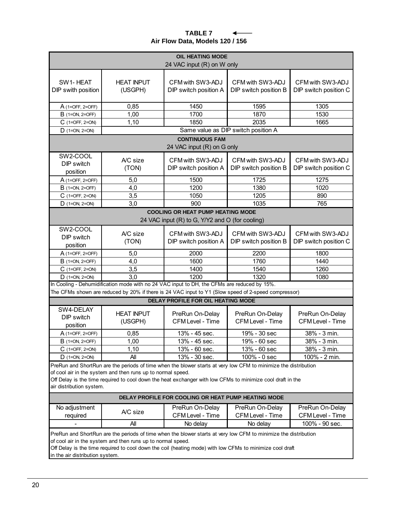#### **TABLE 7**  $\leftarrow$  $\overline{\phantom{0}}$ **Air Flow Data, Models 120 / 156**

| <b>OIL HEATING MODE</b><br>24 VAC input (R) on W only                                                                                                                                                                                                                                                                    |                              |                                                                                                     |                                           |                                           |
|--------------------------------------------------------------------------------------------------------------------------------------------------------------------------------------------------------------------------------------------------------------------------------------------------------------------------|------------------------------|-----------------------------------------------------------------------------------------------------|-------------------------------------------|-------------------------------------------|
| SW1-HEAT<br>DIP swith position                                                                                                                                                                                                                                                                                           | <b>HEAT INPUT</b><br>(USGPH) | CFM with SW3-ADJ<br>DIP switch position A                                                           | CFM with SW3-ADJ<br>DIP switch position B | CFM with SW3-ADJ<br>DIP switch position C |
| A (1=OFF, 2=OFF)                                                                                                                                                                                                                                                                                                         | 0,85                         | 1450                                                                                                | 1595                                      | 1305                                      |
| <b>B</b> (1=ON, 2=OFF)                                                                                                                                                                                                                                                                                                   | 1,00                         | 1700                                                                                                | 1870                                      | 1530                                      |
| C (1=OFF, 2=ON)                                                                                                                                                                                                                                                                                                          | 1,10                         | 1850                                                                                                | 2035                                      | 1665                                      |
| $D$ (1=ON, 2=ON)                                                                                                                                                                                                                                                                                                         |                              |                                                                                                     | Same value as DIP switch position A       |                                           |
|                                                                                                                                                                                                                                                                                                                          |                              | <b>CONTINUOUS FAM</b><br>24 VAC input (R) on G only                                                 |                                           |                                           |
| SW2-COOL<br>DIP switch<br>position                                                                                                                                                                                                                                                                                       | A/C size<br>(TON)            | CFM with SW3-ADJ<br>DIP switch position A                                                           | CFM with SW3-ADJ<br>DIP switch position B | CFM with SW3-ADJ<br>DIP switch position C |
| A (1=OFF, 2=OFF)                                                                                                                                                                                                                                                                                                         | 5,0                          | 1500                                                                                                | 1725                                      | 1275                                      |
| <b>B</b> (1=ON, 2=OFF)                                                                                                                                                                                                                                                                                                   | 4,0                          | 1200                                                                                                | 1380                                      | 1020                                      |
| $C$ (1=OFF, 2=ON)                                                                                                                                                                                                                                                                                                        | 3,5                          | 1050                                                                                                | 1205                                      | 890                                       |
| $D$ (1=ON, 2=ON)                                                                                                                                                                                                                                                                                                         | 3,0                          | 900                                                                                                 | 1035                                      | 765                                       |
|                                                                                                                                                                                                                                                                                                                          |                              | <b>COOLING OR HEAT PUMP HEATING MODE</b><br>24 VAC input (R) to G, Y/Y2 and O (for cooling)         |                                           |                                           |
| SW2-COOL<br>DIP switch<br>position                                                                                                                                                                                                                                                                                       | A/C size<br>(TON)            | CFM with SW3-ADJ<br>DIP switch position A                                                           | CFM with SW3-ADJ<br>DIP switch position B | CFM with SW3-ADJ<br>DIP switch position C |
| A (1=OFF, 2=OFF)                                                                                                                                                                                                                                                                                                         | 5,0                          | 2000                                                                                                | 2200                                      | 1800                                      |
| $B$ (1=ON, 2=OFF)                                                                                                                                                                                                                                                                                                        | 4,0                          | 1600                                                                                                | 1760                                      | 1440                                      |
| $C$ (1=OFF, 2=ON)                                                                                                                                                                                                                                                                                                        | 3,5                          | 1400                                                                                                | 1540                                      | 1260                                      |
| 3,0<br>1200<br>1320<br>1080<br>$D$ (1=ON, 2=ON)                                                                                                                                                                                                                                                                          |                              |                                                                                                     |                                           |                                           |
|                                                                                                                                                                                                                                                                                                                          |                              | In Cooling - Dehumidification mode with no 24 VAC input to DH, the CFMs are reduced by 15%.         |                                           |                                           |
|                                                                                                                                                                                                                                                                                                                          |                              | The CFMs shown are reduced by 20% if there is 24 VAC input to Y1 (Slow speed of 2-speed compressor) |                                           |                                           |
|                                                                                                                                                                                                                                                                                                                          |                              | <b>DELAY PROFILE FOR OIL HEATING MODE</b>                                                           |                                           |                                           |
| SW4-DELAY<br>DIP switch<br>position                                                                                                                                                                                                                                                                                      | <b>HEAT INPUT</b><br>(USGPH) | PreRun On-Delay<br><b>CFM Level - Time</b>                                                          | PreRun On-Delay<br>CFM Level - Time       | PreRun On-Delay<br>CFM Level - Time       |
| A (1=OFF, 2=OFF)                                                                                                                                                                                                                                                                                                         | 0,85                         | 13% - 45 sec.                                                                                       | 19% - 30 sec                              | 38% - 3 min.                              |
| <b>B</b> (1=ON, 2=OFF)                                                                                                                                                                                                                                                                                                   | 1,00                         | 13% - 45 sec.                                                                                       | 19% - 60 sec                              | 38% - 3 min.                              |
| $C$ (1=OFF, 2=ON)                                                                                                                                                                                                                                                                                                        | 1,10                         | 13% - 60 sec.                                                                                       | 13% - 60 sec                              | 38% - 3 min.                              |
| $D$ (1=ON, 2=ON)                                                                                                                                                                                                                                                                                                         | All                          | 13% - 30 sec.                                                                                       | 100% - 0 sec                              | 100% - 2 min.                             |
| PreRun and ShortRun are the periods of time when the blower starts at very low CFM to minimize the distribution<br>of cool air in the system and then runs up to normal speed.<br>Off Delay is the time required to cool down the heat exchanger with low CFMs to minimize cool draft in the<br>air distribution system. |                              |                                                                                                     |                                           |                                           |
| DELAY PROFILE FOR COOLING OR HEAT PUMP HEATING MODE                                                                                                                                                                                                                                                                      |                              |                                                                                                     |                                           |                                           |
| No adjustment<br>required                                                                                                                                                                                                                                                                                                | A/C size                     | PreRun On-Delay<br>CFM Level - Time                                                                 | PreRun On-Delay<br>CFM Level - Time       | PreRun On-Delay<br>CFM Level - Time       |
|                                                                                                                                                                                                                                                                                                                          | All                          | No delay                                                                                            | No delay                                  | 100% - 90 sec.                            |
| PreRun and ShortRun are the periods of time when the blower starts at very low CFM to minimize the distribution<br>of cool air in the system and then runs up to normal speed.<br>Off Delay is the time required to cool down the coil (heating mode) with low CFMs to minimize cool draft                               |                              |                                                                                                     |                                           |                                           |

in the air distribution system.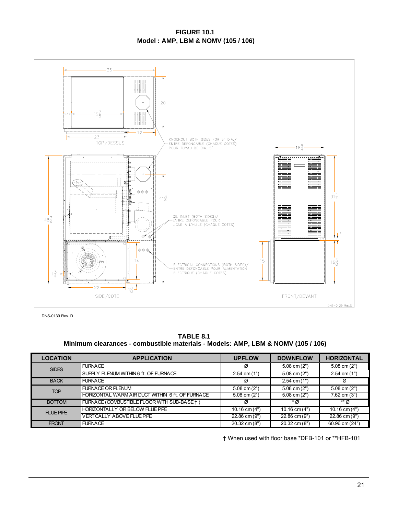#### **FIGURE 10.1 Model : AMP, LBM & NOMV (105 / 106)**



DNS-0139 Rev. D

**TABLE 8.1 Minimum clearances - combustible materials - Models: AMP, LBM & NOMV (105 / 106)**

| <b>LOCATION</b>  | <b>APPLICATION</b>                               | <b>UPFLOW</b>     | <b>DOWNFLOW</b>   | <b>HORIZONTAL</b>         |
|------------------|--------------------------------------------------|-------------------|-------------------|---------------------------|
| <b>SIDES</b>     | <b>FURNACE</b>                                   | Ø                 | $5.08$ cm $(2")$  | $\overline{5.08}$ cm (2") |
|                  | <b>ISUPPLY PLENUM WITHIN 6 ft. OF FURNACE</b>    | $2.54$ cm $(1")$  | $5.08$ cm $(2")$  | $2.54$ cm $(1")$          |
| <b>BACK</b>      | <b>FURNACE</b>                                   |                   | $2.54$ cm $(1")$  | Ø                         |
| <b>TOP</b>       | <b>FURNACE OR PLENUM</b>                         | $5.08$ cm $(2")$  | $5.08$ cm $(2")$  | $5.08$ cm $(2")$          |
|                  | HORIZONTAL WARM AIR DUCT WITHIN 6 ft. OF FURNACE | $5.08$ cm $(2")$  | $5.08$ cm $(2")$  | $7.62$ cm $(3")$          |
| <b>BOTTOM</b>    | FURNACE (COMBUSTIBLE FLOOR WITH SUB-BASE † )     |                   | $*$ $\alpha$      | ** Ø                      |
| <b>FLUE PIPE</b> | HORIZONTALLY OR BELOW FLUE PIPE                  | $10.16$ cm $(4")$ | $10.16$ cm $(4")$ | $10.16$ cm $(4")$         |
|                  | <b>VERTICALLY ABOVE FLUE PIPE</b>                | 22.86 cm (9")     | 22.86 cm (9")     | 22.86 cm (9")             |
| <b>FRONT</b>     | <b>FURNACE</b>                                   |                   | 20.32 cm (8")     | 60.96 cm (24")            |

† When used with floor base \*DFB-101 or \*\*HFB-101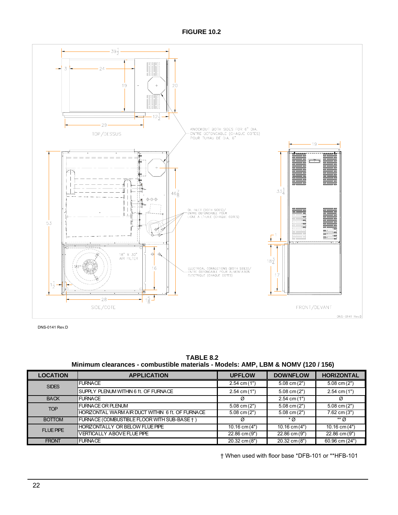**FIGURE 10.2**



DNS-0141 Rev.D

**TABLE 8.2 Minimum clearances - combustible materials - Models: AMP, LBM & NOMV (120 / 156)**

| <b>LOCATION</b>               | <b>APPLICATION</b>                               | <b>UPFLOW</b>     | <b>DOWNFLOW</b>   | <b>HORIZONTAL</b> |
|-------------------------------|--------------------------------------------------|-------------------|-------------------|-------------------|
| <b>SIDES</b>                  | <b>FURNACE</b>                                   | $2.54$ cm $(1")$  | $5.08$ cm $(2")$  | $5.08$ cm $(2")$  |
|                               | SUPPLY PLENUM WITHIN 6 ft. OF FURNACE            | $2.54$ cm $(1")$  | $5.08$ cm $(2")$  | $2.54$ cm $(1")$  |
| <b>FURNACE</b><br><b>BACK</b> |                                                  | Ø                 | $2.54$ cm $(1")$  | Ø                 |
| <b>TOP</b>                    | <b>FURNACE OR PLENUM</b>                         | $5.08$ cm $(2")$  | $5.08$ cm $(2")$  | $5.08$ cm $(2")$  |
|                               | HORIZONTAL WARM AIR DUCT WITHIN 6 ft. OF FURNACE | $5.08$ cm $(2")$  | $5.08$ cm $(2")$  | 7.62 cm (3")      |
| <b>BOTTOM</b>                 | FURNACE (COMBUSTIBLE FLOOR WITH SUB-BASE +)      |                   | $*$ Ø             | ** Ø              |
| <b>FLUE PIPE</b>              | HORIZONTALLY OR BELOW FLUE PIPE                  | $10.16$ cm $(4")$ | $10.16$ cm $(4")$ | $10.16$ cm $(4")$ |
|                               | <b>VERTICALLY ABOVE FLUE PIPE</b>                | 22.86 cm (9")     | 22.86 cm (9")     | 22.86 cm (9")     |
| <b>FRONT</b>                  | <b>FURNACE</b>                                   |                   | 20.32 cm (8")     | 60.96 cm (24")    |

† When used with floor base \*DFB-101 or \*\*HFB-101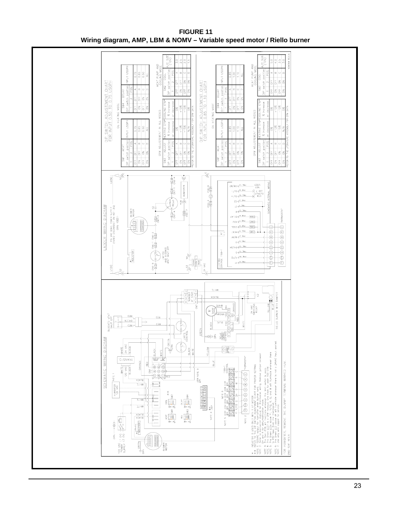

**FIGURE 11 Wiring diagram, AMP, LBM & NOMV – Variable speed motor / Riello burner**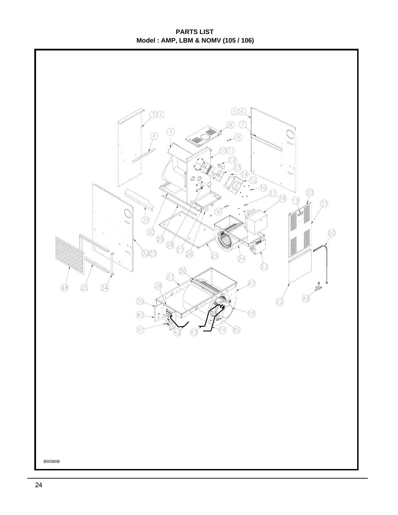**PARTS LIST Model : AMP, LBM & NOMV (105 / 106)**

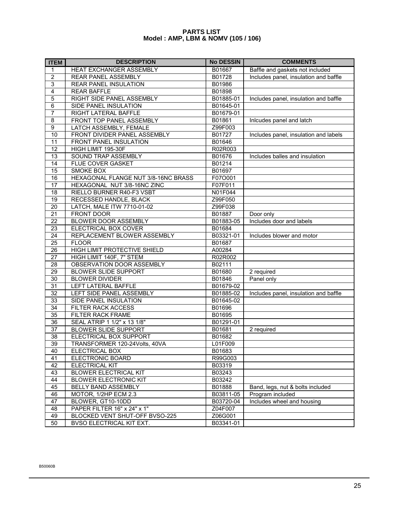#### **PARTS LIST Model : AMP, LBM & NOMV (105 / 106)**

| <b>ITEM</b>     | <b>DESCRIPTION</b>                  | <b>No DESSIN</b> | <b>COMMENTS</b>                       |
|-----------------|-------------------------------------|------------------|---------------------------------------|
| 1               | HEAT EXCHANGER ASSEMBLY             | B01667           | Baffle and gaskets not included       |
| $\overline{2}$  | REAR PANEL ASSEMBLY                 | B01728           | Includes panel, insulation and baffle |
| $\overline{3}$  | REAR PANEL INSULATION               | B01986           |                                       |
| $\overline{4}$  | <b>REAR BAFFLE</b>                  | B01898           |                                       |
| $\overline{5}$  | RIGHT SIDE PANEL ASSEMBLY           | B01885-01        | Includes panel, insulation and baffle |
| 6               | SIDE PANEL INSULATION               | B01645-01        |                                       |
| $\overline{7}$  | RIGHT LATERAL BAFFLE                | B01679-01        |                                       |
| $\overline{8}$  | FRONT TOP PANEL ASSEMBLY            | B01861           | Inlcudes panel and latch              |
| $\overline{9}$  | LATCH ASSEMBLY, FEMALE              | Z99F003          |                                       |
| $\overline{10}$ | FRONT DIVIDER PANEL ASSEMBLY        | B01727           | Includes panel, insulation and labels |
| 11              | <b>FRONT PANEL INSULATION</b>       | B01646           |                                       |
| $\overline{12}$ | HIGH LIMIT 195-30F                  | R02R003          |                                       |
| $\overline{13}$ | SOUND TRAP ASSEMBLY                 | B01676           | Includes balles and insulation        |
| $\overline{14}$ | FLUE COVER GASKET                   | B01214           |                                       |
| $\overline{15}$ | SMOKE BOX                           | B01697           |                                       |
| 16              | HEXAGONAL FLANGE NUT 3/8-16NC BRASS | F07O001          |                                       |
| $\overline{17}$ | HEXAGONAL NUT 3/8-16NC ZINC         | F07F011          |                                       |
| 18              | RIELLO BURNER R40-F3 VSBT           | N01F044          |                                       |
| $\overline{19}$ | RECESSED HANDLE, BLACK              | Z99F050          |                                       |
| $\overline{20}$ | LATCH, MALE ITW 7710-01-02          | Z99F038          |                                       |
| 21              | FRONT DOOR                          | B01887           | Door only                             |
| 22              | <b>BLOWER DOOR ASSEMBLY</b>         | B01883-05        | Includes door and labels              |
| $\overline{23}$ | ELECTRICAL BOX COVER                | B01684           |                                       |
| 24              | REPLACEMENT BLOWER ASSEMBLY         | B03321-01        | Includes blower and motor             |
| 25              | <b>FLOOR</b>                        | B01687           |                                       |
| 26              | HIGH LIMIT PROTECTIVE SHIELD        | A00284           |                                       |
| $\overline{27}$ | HIGH LIMIT 140F, 7" STEM            | R02R002          |                                       |
| 28              | OBSERVATION DOOR ASSEMBLY           | B02111           |                                       |
| $\overline{29}$ | <b>BLOWER SLIDE SUPPORT</b>         | B01680           | 2 required                            |
| $\overline{30}$ | <b>BLOWER DIVIDER</b>               | B01846           | Panel only                            |
| 31              | LEFT LATERAL BAFFLE                 | B01679-02        |                                       |
| 32              | LEFT SIDE PANEL ASSEMBLY            | B01885-02        | Includes panel, insulation and baffle |
| $\overline{33}$ | SIDE PANEL INSULATION               | B01645-02        |                                       |
| $\overline{34}$ | FILTER RACK ACCESS                  | B01696           |                                       |
| $\overline{35}$ | FILTER RACK FRAME                   | B01695           |                                       |
| 36              | SEAL ATRIP 1 1/2" x 13 1/8"         | B01291-01        |                                       |
| $\overline{37}$ | <b>BLOWER SLIDE SUPPORT</b>         | B01681           | 2 required                            |
| 38              | ELECTRICAL BOX SUPPORT              | B01682           |                                       |
| 39              | TRANSFORMER 120-24Volts, 40VA       | L01F009          |                                       |
| 40              | ELECTRICAL BOX                      | B01683           |                                       |
| 41              | ELECTRONIC BOARD                    | R99G003          |                                       |
| 42              | ELECTRICAL KIT                      | B03319           |                                       |
| 43              | <b>BLOWER ELECTRICAL KIT</b>        | B03243           |                                       |
| 44              | <b>BLOWER ELECTRONIC KIT</b>        | B03242           |                                       |
| 45              | BELLY BAND ASSEMBLY                 | B01888           | Band, legs, nut & bolts included      |
| 46              | MOTOR, 1/2HP ECM 2.3                | B03811-05        | Program included                      |
| 47              | BLOWER, GT10-10DD                   | B03720-04        | Includes wheel and housing            |
| 48              | PAPER FILTER 16" x 24" x 1"         | Z04F007          |                                       |
| 49              | BLOCKED VENT SHUT-OFF BVSO-225      | Z06G001          |                                       |
| 50              | BVSO ELECTRICAL KIT EXT.            | B03341-01        |                                       |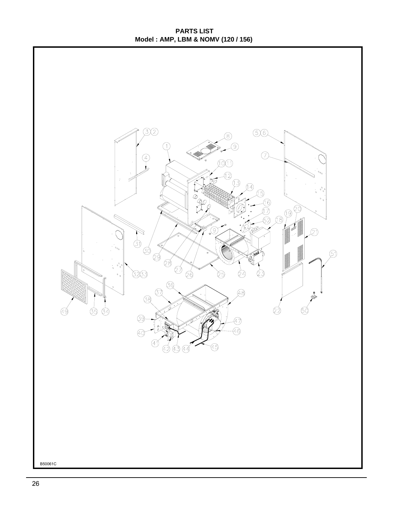